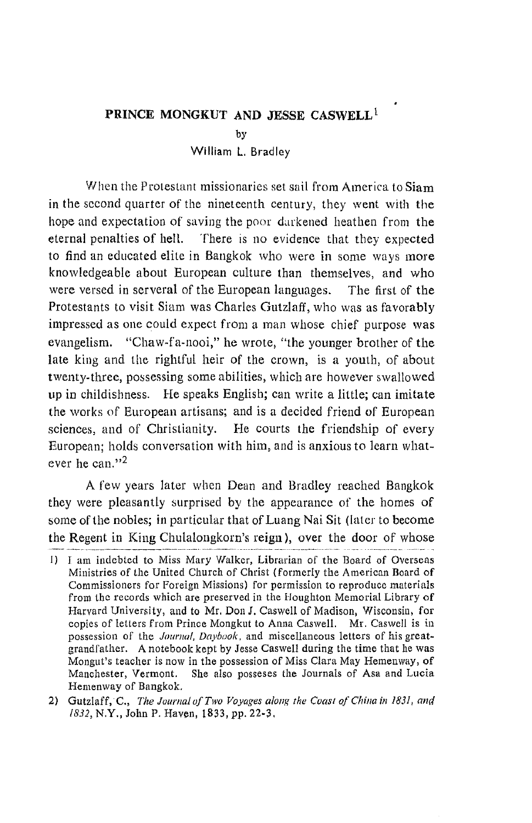# PRINCE MONGKUT AND JESSE CASWELL<sup>1</sup>

by

William L. Bradley

When the Protestant missionaries set sail from America to Siam in the second quarter of the nineteenth century, they went with the hope and expectation of saving the poor darkened heathen from the eternal penalties of hell. There is no evidence that they expected to find an educated elite in Bangkok who were in some ways more knowledgeable about European culture than themselves, and who were versed in serveral of the European languages. The first of the Protestants to visit Siam was Charles Gutzlaff, who was as favorably impressed as one could expect from a man whose chief purpose. was evangelism. "Chaw-fa-nooi," he wrote, "the younger brother of the late king and the rightful heir of the crown, is a youth, of about twenty-three, possessing some abilities, which are however swallowed up in childishness. fie speaks English; can write a little; can imitate the works of European artisans; and is a decided friend of European sciences, and of Christianity. He courts the friendship of every European; holds conversation with him, and is anxious to learn whatever he can." $<sup>2</sup>$ </sup>

A few years later when Dean and Bradley reached Bangkok they were pleasantly surprised by the appearance of the homes of some of the nobles; in particular that of Luang Nai. Sit (later to become the Regent in King Chulalongkorn's reign), over the door of whose

<sup>1)</sup> I am indebted to Miss Mary Walker, Librarian of the Board of Overseas Ministries of the United Church of Christ (formerly the American Board of Commissioners for Foreign Missions) for permission to reproduce materials from the records which arc preserved in the Houghton Memorial Library of Harvard University, and to Mr. Don J. Caswell of Madison, Wisconsin, for copies of letters from Prince Mongkut to Anna Caswell. Mr. Caswell is in possession of the *Journal, Daybook*, and miscellaneous letters of his greatgrandfather. A notebook kept by Jesse Caswell during the time that he was Mongut's teacher is now in the possession of Miss Clara May Hemenway, of Manchester, Vermont. She also posseses the Journals of Asa and Lucia Hemenway of Bangkok.

<sup>2)</sup> Gutzlaff, C., *The Journal of Two Voyages along the Coast of China in 1831*, and *!832,* N.Y., John P. Haven, 1833, pp. 22-3.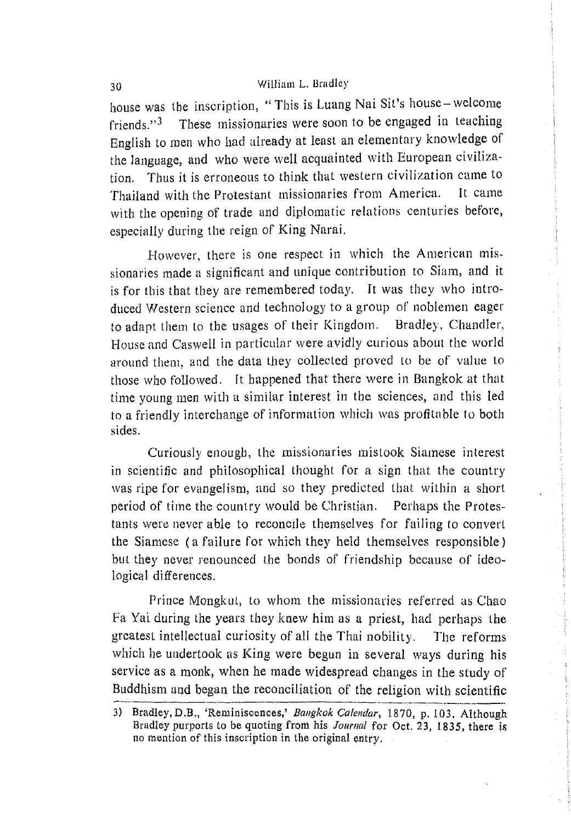bouse was the inscription, "This is Luang Nai Sit's house- welcome friends."3 These missionaries were soon to be engaged in teaching English to men who had already at least an elementary knowledge of the language, and who were well acquainted with European civilization. Thus it is erroneous to think that western civilization came to Thailand with the Protestant missionaries from America. It came with the opening of trade and diplomatic relations centuries before, especially during the reign of King Narai.

However, there is one respect in which the American missionaries made a significant and unique contribution to Siam, and it is for this that they are remembered today. It was they who introduced Western science and technology to a group of noblemen eager to adapt them to the usages of their Kingdom. Bradley, Chandler, House and Caswell in particular were avidly curious about the world around them, and the data they collected proved to be of value to those who followed. It happened that there were in Bangkok at that time young men with a similar interest in the sciences, and this led to a friendly interchange of information which was profitable to both sides.

Curiously enougb, the missionaries mistook Siamese interest in scientific and philosophical thought for a sign that the country was ripe for evangelism, and so they predicted tbat within a short period of time the country would be Christian. Perhaps the Protestants were never able to reconcile themselves for failing to convert the Siamese (a failure for which they held themselves responsible) but they never renounced the bonds of friendship because of ideological differences.

Prince Mongkut, to whom the missionaries referred as Chao Fa Yai during the years they knew him as a priest, had perhaps the greatest intellectual curiosity of all the Thai nobility. The reforms which he undertook as King were begun in several ways during his service as a monk, when he made widespread changes in the study of Buddhism and began the reconciliation of the religion with scientific 3) Bradley, D.B., 'Reminiscences,' *Bangkok Calendar*, 1870, p. 103. Although

Bradley purports to be quoting from his *Journal* for Oct. 23, 1835, there is no mention of this inscription in the original entry.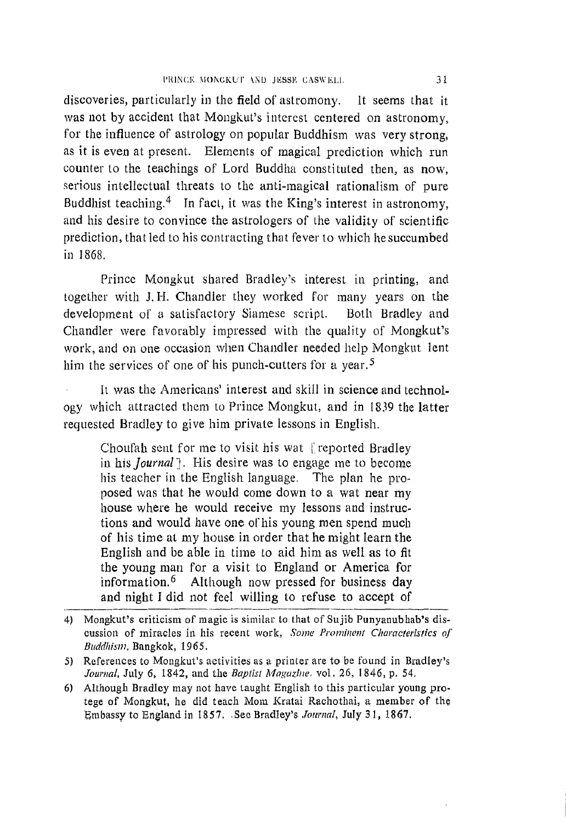discoveries, particularly in the field of astromony. It seems that it was not by accident that Mongkut's interest centered on astronomy, for the influence of astrology on popular Buddhism was very strong, as it is even at present. Elements of magical prediction which run counter to the teachings of Lord Buddha constituted then, as now, serious intellectual threats to the anti-magical rationalism of pure Buddhist teaching.4 In fact, it was the King's interest in astronomy, and his desire to convince the astrologers of the validity of scientific prediction, that led to his contracting that fever to which he succumbed in 1868.

Prince Mongkut shared Bradley's interest in printing, and together with J. H. Chandler they worked for many years on the development of a satisfactory Siamese script. Both Bradley and Chandler were favorably impressed with the quality of Mongkut's work, and on one occasion when Chandler needed help Mongkut lent him the services of one of his punch-cutters for a year.<sup>5</sup>

It was the Americans' interest and skill in science and technology which attracted them to Prince Mongkut, and in 1839 the latter requested Bradley to give him private lessons in English.

Choufah sent for me to visit his wat [reported Bradley in his *journal].* His desire was to engage me to become his teacher in the English language. The plan he proposed was that he would come down to a wat near my house where he would receive my lessons and instructions and would have one of his young men spend much of his time at my house in order that he might learn the English and be able *in* time *to* aid him as well as to fit the young man for a visit to England or America for information.<sup>6</sup> Although now pressed for business day and night I did not feel willing to refuse to accept of

<sup>4)</sup> Mongkut's criticism of magic is similar to that of Sujib Punyanubhab's discussion of miracles in his recent work, *Some Prmninent Characteristics of Buddhism,* Bangkok, 1965.

<sup>5)</sup> References to Mongkut's activities as a printer are to be found in Bradley's *Journal,* July 6, 1842, and the *Baptist Magazine,* vol. 26, 1846, p. 54.

<sup>6)</sup> Although Bradley may not have taught English to this particular young protege of Mongkut, he did teach Mom Kratai Rachothai, a member of the Embassy to England in 1857 .. See Bradley's *.Tournai,* July 31, 1867.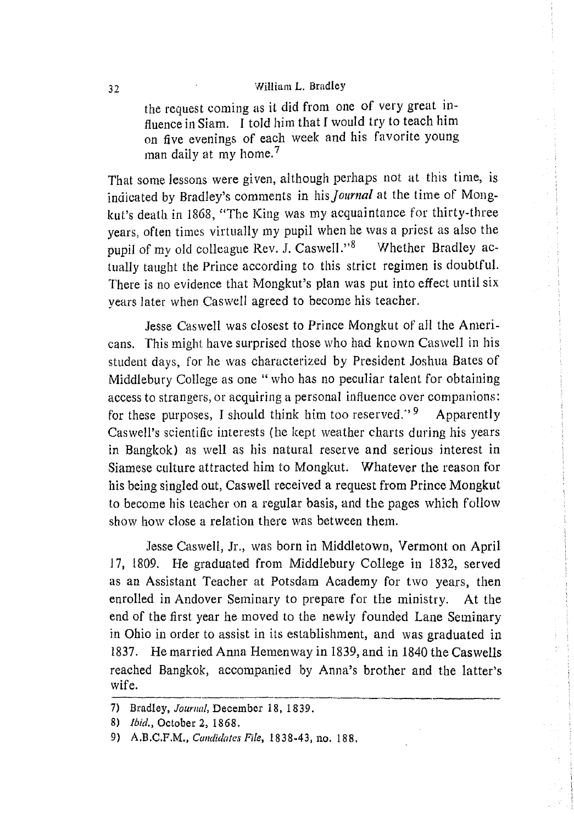the request coming as it did from one of very great influence in Siam. I told him that I would try to teach him on five evenings of each week and his favorite young man daily at my home.<sup>7</sup>

That some lessons were given, although perhaps not at this time, is indicated by Bradley's comments in *hisjouma/* at the time of Mongkut's death in 1868, "The King was my acquaintance for thirty-three years, often times virtually my pupil when he was a priest as also the pupil of my old colleague Rev. J. Caswell."<sup>8</sup> Whether Bradley actually taught the Prince according to this strict regimen is doubtful. There is no evidence that Mongkut's pian was put into effect until six years later when Caswell agreed to become his teacher.

Jesse Caswell was closest to Prince Mongkut of all the Americans. This might have surprised those who had known Caswell in his student days, for he was characterized by President Joshua Bates of Middlebury College as one " who has no peculiar talent for obtaining access to strangers, or acquiring a personal influence over companions: for these purposes, I should think him too reserved.<sup>9</sup> Apparently Caswell's scientific interests (he kept weather charts during his years in Bangkok) as well as his natural reserve and serious interest in Siamese culture attracted him to Mongkut. Whatever the reason for his being singled out, Caswell received a request from Prince Mongkut to become his teacher on a regular basis, and the pages which follow show how close a relation there was between them.

Jesse Caswell, Jr., was born in Middletown, Vermont on April 17, l809. He graduated from Middlebury College in 1832, served as an Assistant Teacher at Potsdam Academy for two years, then enrolled in Andover Seminary to prepare for the ministry. At the end of the first year he moved to the newly founded Lane Seminary in Ohio in order to assist in its establishment, and was graduated in 1837. He married Anna Hemenway in 1839, and in 1840 the Caswells reached Bangkok, accompanied by Anna's brother and the latter's wife.

<sup>7)</sup> Bradley, *Joumal,* December 18, 1839.

<sup>8)</sup> *Ibid.,* October 2, 1868.

<sup>9)</sup> A.B.C.F.M., *Candidates File,* 1838-43, no. 188,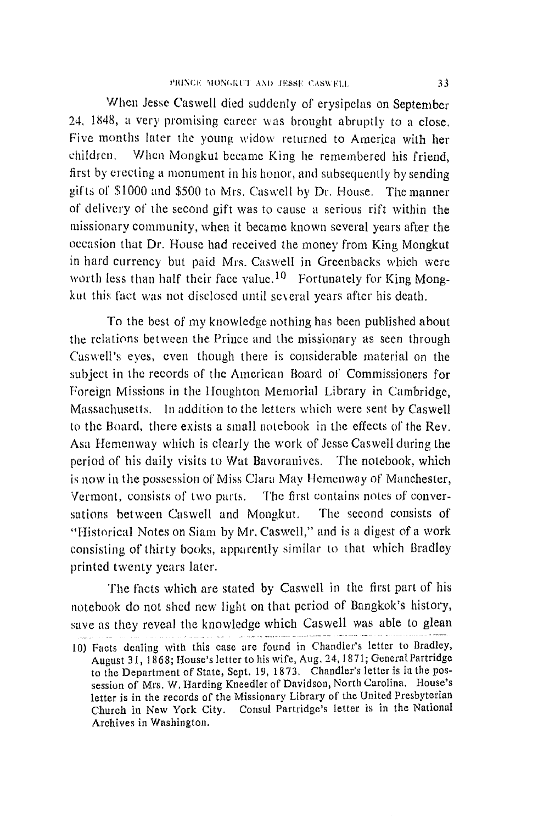When Jesse Caswell died suddenly of erysipelas on September 24. 1848, a very promising career was brought abruptly to a close. Five months later the young widow returned to America with her children. When Mongkut became King he remembered his friend, first by erecting a monument in his honor, and subsequently by sending gifts of \$1000 and \$500 to Mrs. Caswell by Dr. House. The manner of delivery of the second gift was to cause a serious rift within the missionary community, when it became known several years after the occasion that Dr. House had received the money from King Mongkut in hard currency but paid Mrs. Caswell in Greenbacks which were worth less than half their face value.<sup>10</sup> Fortunately for King Mongkut this fact was not disdosed umil several years after his death.

To the best of my knowledge nothing has been published about the relations between the Prince and the missionary as seen through Caswell's eyes, even though there is considerable material on the subject in the records of the American Board of Commissioners for Foreign Missions in the Houghton Memorial Library in Cambridge, Massachusetts. In addition to the letters which were sent by Caswell to the Hoard, there exists a small notebook in the effects or the Rev. Asa Hemenway which is clearly the work of Jesse Caswell during the period of his daily visits to Wat Bavoranives. The notebook, which is now in the possession of Miss Clara May Hemenway of Manchester, Vermont, consists of two parts. The first contains notes of conversations between Caswell and Mongkut. The second consists of "Historical Notes on Siam by Mr. Caswell," and is a digest of a work consisting of thirty books, apparently similar to that which Bradley printed twenty years later.

The facts which arc stated by Caswell in the first part of his notebook do not shed new light on that period of Bangkok's history, save as they reveal the knowledge which Caswell was able to glean

<sup>1 0)</sup> Facts dealing with this case nrc found in Chandler's letter to Bradley, August 3 I, 1868; House's letter to his wife, Aug. 24, 1871; General Partridge to the Department of State, Sept. 19, 18 73. Chandler's letter is in the possession of Mrs. W. Harding Kneedler of Davidson, North Carolina. House's letter is in the records of the Missionary Library of the United Presbyterian Church in New York City. Consul Partridge's letter is in the National Archives in Washington.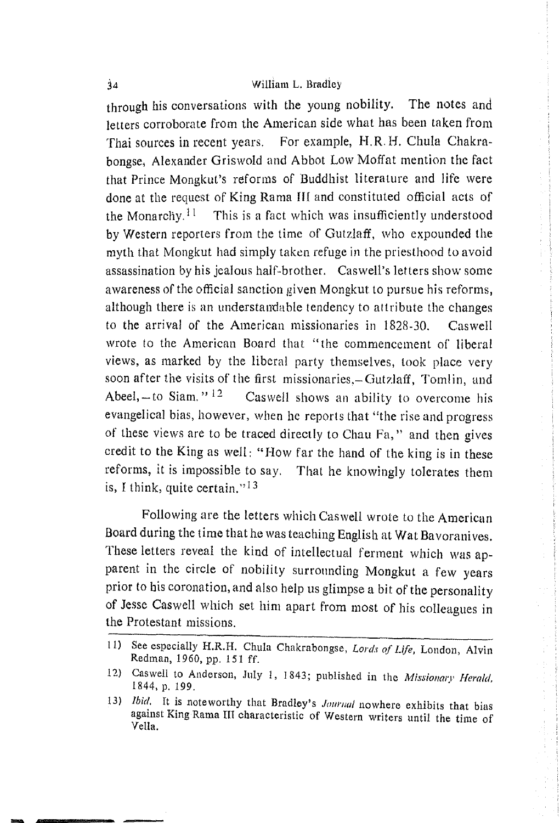## *3a* William L. Bmdiey

through his conversations with the young nobility. The notes and letters corroborate from the American side what has been taken from Thai sources in recent years. For example, H.R.H. Chula Chakrabongse, Alexander Griswold and Abbot Low Moffat mention the fact that Prince Mongkut's reforms of Buddhist literature and life were done at the request of King Rama HI and constituted official acts of the Monarchy.<sup>11</sup> This is a fact which was insufficiently understood by Western reporters from the time of Gutzlaff, who expounded the myth that Mongkut had simply taken refuge in the priesthood to avoid assassination by his jealous half-brother. Caswell's letters show some awareness of the official sanction given Mongkut to pursue his reforms, although there is an understandable tendency to attribute the changes to the arrival of the American missionaries in 1828-30. Caswell wrote to the American Board that "the commencement of liberal views, as marked by tbe liberal party themselves, took place very soon after the visits of the first missionaries,-Gutzlaff, Tomlin, and Abeel, $-$ to Siam."  $12$  Caswell shows an ability to overcome his evangelical bias, however, when he reports lhat "the rise and progress of these views are to be traced directly to Chau Fa," and then gives credit to the King as well: "How far the hand of the king is in these reforms, it is impossible to say. That he knowingly tolerates them is, I think, quite certain."<sup>13</sup>

Following are the letters which Caswell wrote to the American Board during the time that he was teaching English at Wat Bavoranives. These letters reveal the kind of intellectual ferment which was apparent in the circle of nobility surrounding Mongkut a few years prior to his coronation, and also help us glimpse a bit of the personality of Jesse Caswell which set him apart from most of his colleagues in the Protestant missions.

Ţ

<sup>11)</sup> See especially H.R.H. Chula Chakrabongse, *Lords of Life*, London, Alvin Redman, 1960, pp. 151 ff.

<sup>12)</sup> Caswell to Anderson, July 1, 1843; published in the *Missionary Herald*, 1844, p. 199.

<sup>13)</sup> *Ibid.* It is noteworthy that Bradley's *Jourua/* nowhere exhibits that bias against King Rama III characteristic of Western writers until the time of Vella.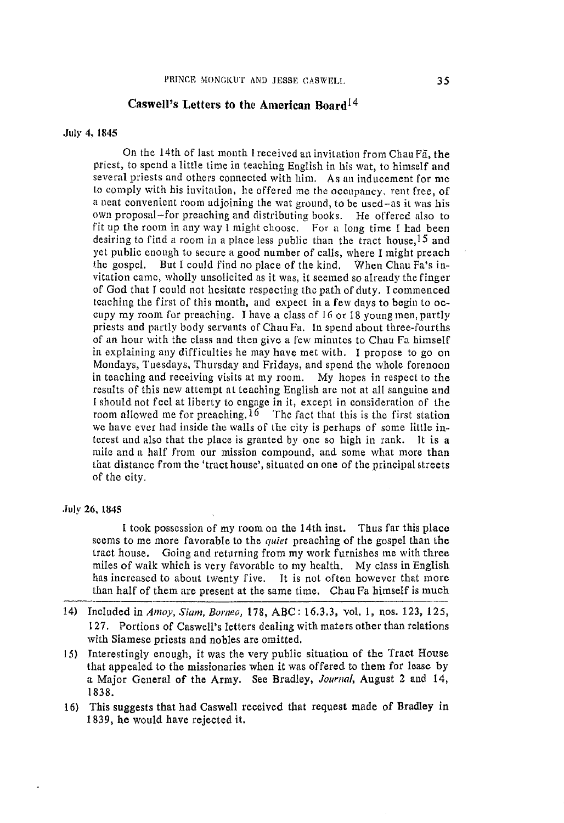### Caswell's Letters to the American Board  $14$

#### July 4, 1845

On the 14th of last month I received an invitation from Chau Fa, the priest, to spend a little time in teaching English in his wat, to himself and several priests and others connected with him. As an inducement for me to comply with his invitation, he offered me the occupancy, rent free, of a neat convenient room adjoining the wat ground, to be used-as it was his own proposal-for preaching and distributing books. He offered also to fit up the room in any way I might choose. For a long time I had been desiring to find a room in a place less public than the tract house, <sup>15</sup> and yet public enough to secure a good number of calls, where I might preach the gospel. But I could find no place of the kind. When Chau Fa's in-But I could find no place of the kind. When Chau Fa's invitation came, wholly unsolicited as it was, it seemed so already the finger of God that I could not hesitate respecting the path of duty. I commenced leaching the first of this month, and expect in a few days to begin to occupy my room for preaching. I have a class of 16 or 18 young men, partly priests and partly body servants of Chau Fa. In spend about three-fourths of an hour with the class and then give a few minutes to Chau Fa himself in explaining any difficulties he may have met with. I propose to go on Mondays, Tuesdays, Thursday and Fridays, and spend the whole forenoon in teaching and receiving visits at my room. My hopes in respect to the results of this new attempt at teaching English arc not at all sanguine and I should not feel at liberty to engage in it, except in consideration of the room allowed me for preaching,  $16$  The fact that this is the first station we have ever had inside the walls of the city is perhaps of some little interest and also that the place is granted by one so high in rank. It is a mile and a half from our mission compound, and some what more than that distance from the 'tract house', situated on one of the principal streets of the city .

#### .July 26, 1845

I took possession of my room on the 14th inst. Thus far this place seems to me more favorable to the *quiet* preaching of the gospel than the tract house. Going and returning from my work furnishes me with three miles of walk which is very favorable to my health. My class in English has increased to about twenty five. It is not often however that more than half of them are present at the same time. Chau Fa himself is much

- 14) Included in *Amoy, Siam, Borneo,* 178, ABC: 16.3.3, vol. l, nos. 123, 125, 127. Portions of Caswell's letters dealing with maters other than relations with Siamese priests and nobles are omitted.
- 15) Interestingly enough, it was the very public situation of the Tract House that appealed to the missionaries when it was offered to them for lease by a Major General of the Army. See Bradley, *Journal*, August 2 and 14, 1838.
- 16) This suggests that had Caswell received that request made of Bradley in 1839, he would have rejected it.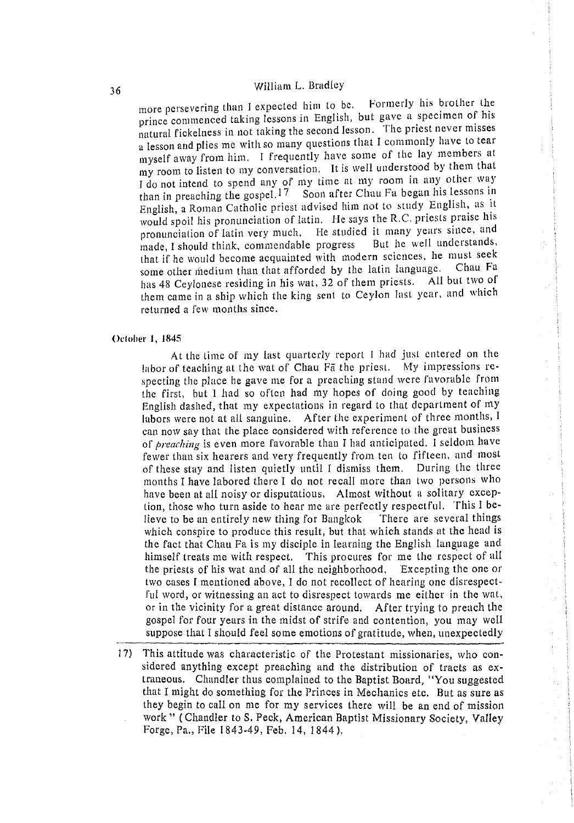more persevering than I expected him to be. Formerly his brother the prince commenced taking lessons in English, but gave a specimen of his natural fickelness in not taking the second lesson. The priest never misses a lesson and plies me with so many questions that I commonly have to tear myself away from him. I frequently have some of the lay members at my room to listen to my conversation. It is well understood by them that I do not intend to spend any of my time at my room in any other way than in preaching the gospel.<sup>17</sup> Soon after Chau Fa began his lessons in English, a Roman Catholic priest advised him not to study English, as it would spoil his pronunciation of latin. He says the R.C. priests praise his pronunciation of latin very much. He studied it many years since, and made, I should think, commendable progress that if he would become acquainted with modern sciences, he must seek some other medium than that afforded by the latin language. has 48 Ceylonese residing in his wat, 32 of them priests. All but two of them came in a ship which the king sent to Ceylon last year, and which returned a few months since.

#### October 1, 1845

At the time of my last quarterly report I had just entered on the labor of teaching at the wat of Chau Fa the priest. My impressions respecting the place he gave me for a preaching stand were favorable from the first, but 1 hnd so often had my hopes of doing good by teaching English dashed, that my expectations in regard to that department of my labors were not at all sanguine. After the experiment of three months, I can now say that the place considered with reference to the great business of *preaching* is even more favorable than I had anticipated. I seldom have fewer than six hearers and very frequently from ten to fifteen, and most of these stay and listen quietly until I dismiss them. During the three months I have labored there I do not recall more than two persons who have been at all noisy or disputatious. Almost without a solitary exception, those who turn aside to hear me are perfectly respectful. This I believe to be an entirely new thing for Bangkok There are several things which conspire to produce this result, but that which stands at the head is the fact that Chau Fa is my disciple in learning the English language and himself treats me with respect. This procures for me the respect of all the priests of his wat and of all the neighborhood. Excepting the one or the priests of his wat and of all the neighborhood, two cases I mentioned above, I do not recollect of hearing one disrespectful word, or witnessing an act to disrespect towards me either in the wat, or in the vicinity for a great distance around. After trying to preach the gospel for four years in the midst of strife and contention, you may well suppose that I should feel some emotions of gratitude, when, unexpectedly

ř.

17) This attitude was characteristic of the Protestant missionaries, who considered anything except preaching and the distribution of tracts as extraneous. Chandler thus complained to the Baptist Board, "You suggested that I might do something for the Princes in Mechanics etc. But as sure as they begin to call on me for my services there will be an end of mission work" {Chandler to S. Peck, American Baptist Missionary Society, Valley Forge, Pa., File 1843-49, Feb. 14, 1844 ). ·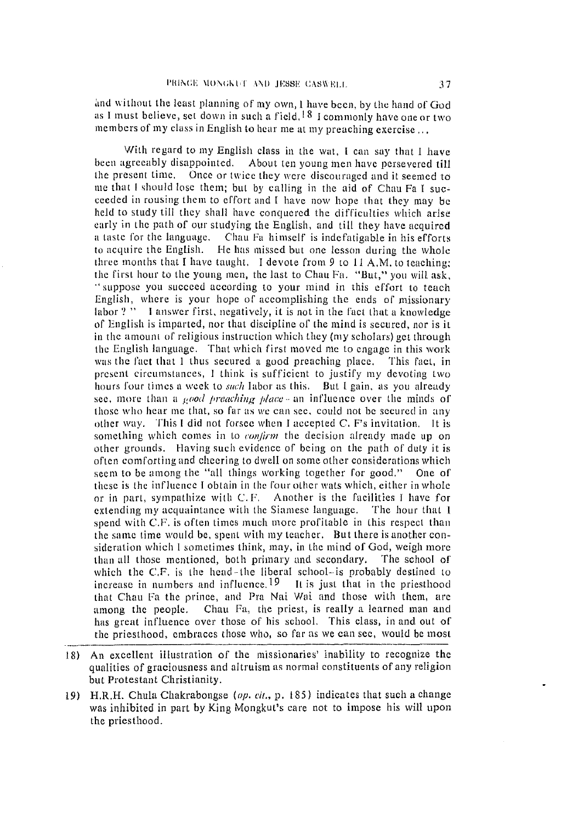and without the least planning of my own, I have been, by the hand of God as I must believe, set down in such a field. 18 I commonly have one or two members of my class in English to hear me at my preaching exercise ...

With regard to my English class in the wat, I can say that I have been agreeably disappointed. About ten young men have persevered till the present time. Once or twice they were discouraged and it seemed to me that I should lose them; but by calling in the aid of Chau Fa I succeeded in rousing them to effort and I have now hope that they may be held to study till they shall have conquered the difficulties which arise early in the path of our studying the English, and till they have acquired<br>a taste for the language. Chau Fa himself is indefatigable in his efforts a taste for the language. Chau Fa himself is indefatigable in his efforts to acquire the English. He has missed but one lesson during the whole He has missed but one lesson during the whole three months that I have taught. I devote from *9* to 11 A.M. to teaching; the first hour to the young men, the last to Chau Fa. "But," you will ask, "suppose you succeed according to your mind in this effort to teach English, where is your hope of accomplishing the ends of missionary labor  $?$  " I answer first, negatively, it is not in the fact that a knowledge of English is imparted, nor that discipline or the mind is secured, nor is it in the amount of religious instruction which they (my scholars) get through the English language. Thnt which first moved me to engage in this work was the fact that I thus secured a good preaching place. This fact, in present circumstances, I think is sufficient to justify my devoting two hours four times a week to *such* labor as this. But I gain, as you already sec, more than a *good preaching place* an influence over the minds of those who hear me that, so fur as we can sec, could not be secured in any other way. This I did not forscc when I accepted C. F's invitation. It is something which comes in to *confirm* the decision already made up on other grounds. Having such evidence of being on the path of duty it is often comforting and cheering to dwell on some other considcrntions which seem to be among the "all things working together for good." One of these is the influence I obtain in the four other wats which, either in whole or in part, sympathize with  $C.F.$  Another is the facilities I have for extending my acquaintance with the Siamese language. The hour that 1 spend with C.F. is often times much more profitable in this respect than the same time would be, spent with my teuchcr. But there is another consideration which l sometimes think, may, in the mind of God, weigh more than ull those mentioned, both primary und secondary. The school of which the C.F. is the head-the liberal school-is probably destined to increase in numbers and influence.<sup>19</sup> It is just that in the priesthood that Chau Fa the prince, and Pra Nai Wai and those with them, are among the people. Chau Fa, the priest, is really a learned man and has great influence over those of his school. This class, in and out of the priesthood, embraces those who, so fur as we can sec, would be most

- 18) An excellent illustration of the missionaries' inability to recognize the qualities of graciousness and altruism as normal constituents of any religion but Protestant Christianity.
- 19) H.R.H. Chula Chakrabongse (op. cit., p. 185) indicates that such a change was inhibited in part by King Mongkut's care not to impose his will upon the priesthood.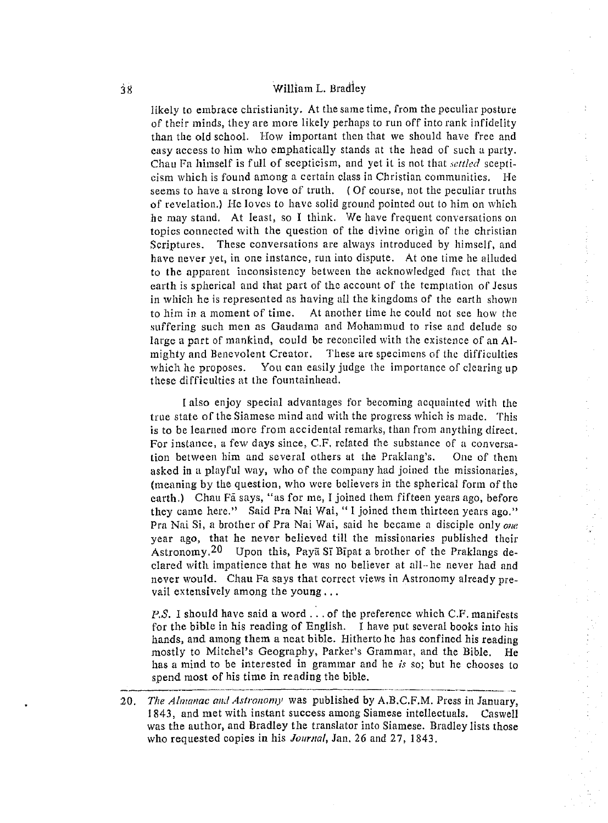likely to embrace christianity. At the same time, from the peculiar posture of their minds, they are more likely perhaps to run off into rank infidelity than the old school. "How important then that we should have free and easy access to him who emphatically stands at the head of such a party. Chau Fa himself is full of scepticism, and yet it is not that *settled* scepticism which is found among a certain class in Christian communities. He seems to have a strong love of truth. (Of course, not the peculiar truths of revelation.) He loves to have solid ground pointed out to him on which he may stand. At least, so I think. *We* have frequent conversations on topics connected with the question of the divine origin of the christian Scriptures. These conversations are always introduced by himself, and have never yet, in one instance, run into dispute. At one time he alluded to the apparent inconsistency between the acknowledged fact that the earth is spherical and that part of the account of the temptation of Jesus in which he is represented as having all the kingdoms of the earth shown to him in a moment of time. At another time he could not see how the suffering such men as Gaudama and Mohammud to rise and delude so large a part of mankind, could be reconciled with the existence of an Almighty and Benevolent Creator. These are specimens of the difficulties which he proposes. You can easily judge the importance of clearing up these difficulties at the fountainhead.

I also enjoy special advantages for becoming acquainted with the true state of the Siamese mind and with the progress which is made. This is to be learned more from accidental remarks, than from anything direct. For instance, a few days since, C.F. related rhe substance of a conversation between him and several others at the Praklang's. One of them asked in a playful way, who of the company had joined the missionaries, (meaning by the question, who were believers in the spherical form of the earth.) Chau Fa says, "as for me, I joined them fifteen years ago, before they came here." Said Pra Nai Wai," I joined them thirteen years ago." Pra Nai Si, a brother of Pra Nai Wai, said he became a disciple only one year ago, that he never believed till the missionaries published their Astronomy,  $20$  Upon this, Paya Si Bipat a brother of the Praklangs declared with impatience that he was no believer at all--he never had and never would. Chau Fa says that correct views in Astronomy already prevail extensively among the young ...

*P.S.* I should have said a word ... of the preference which C.F. manifests for the bible in his reading of English. I have put several books into his hands, and among them a neat bible. Hitherto he has confined his reading mostly to Mitchel's Geography, Parker's Grammar, and the Bible. He has a mind to be interested in grammar and he *is* so; but he chooses to spend most of his time in reading the bible.

<sup>-----------~--------------</sup> 20. *The Almanac and Astronomy* was published by A.B.C.F.M. Press in January, 1843, and met with instant success among Siamese intellectuals. Caswell was the author, and Bradley the translator into Siamese. Bradley lists those who requested copies in his *Journal*, Jan. 26 and 27, 1843.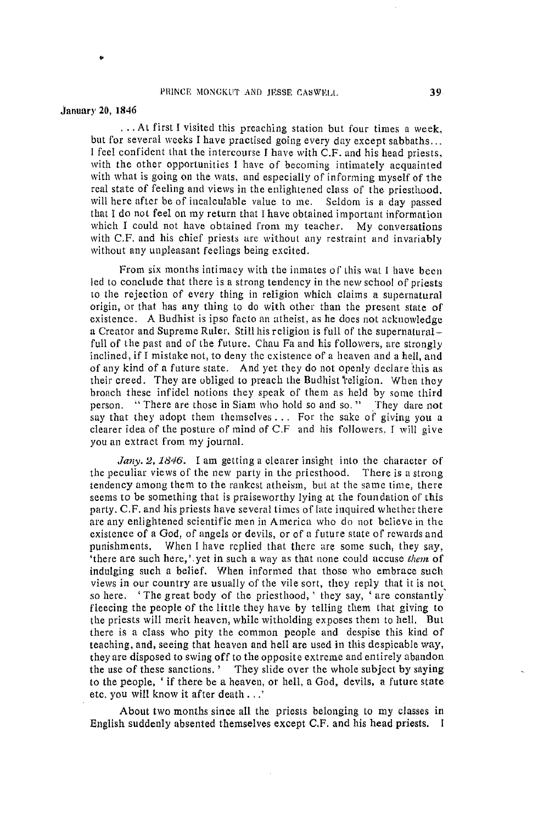#### January 20, 1846

..

... At first I visited this preaching station but four times a week, but for several weeks I have practised going every day except sabbaths... I feel confident that the intercourse I have with C.F. and his head priests, with the other opportunities I have of becoming intimately acquainted with what is going on the wats, and especially of informing myself of the real state of feeling and views in the enlightened class of the priesthood, will here after be of incalculable value to me. Seldom is a day passed that I do not feel on my return that I have obtained important information which I could not have obtained from my teacher. My conversations with C.F. and his chief priests are without any restraint and invariably without any unpleasant feelings being excited.

From six months intimacy with the inmates of this wat I have been led to conclude that there is a strong tendency in the new school of priests to the rejection of every thing in religion which claims a supernatural origin, or that has any thing to do with other than the present state of existence. A Budhist is ipso facto an atheist, as he does not acknowledge u Creator and Supreme Ruler. Still his religion is full of the supernaturalfull of the past and of the future. Chau Fa and his followers, are strongly inclined, if I mistake not, to deny the existence of a heaven and a hell, and of any kind of a future state. And yet they do not openly declare 'this as their creed. They are obliged to preach the Budhist 'religion. When they broach these infidel notions they speak of them as held by some third person. "There are those in Simn who hold so and so." They dare not say that they adopt them themselves... For the sake of giving you a clearer idea of the posture of mind of  $C.F$  and his followers. I will give you an extract from my journal.

*Jany. 2, 1846.* I am getting a clearer insight into the character of the peculiar views of the new party in the priesthood. There is a strong tendency among them to the rankest atheism, but at the same time, there seems to be something that is praiseworthy lying at the foundation of this party. C.F. and his priests have several times of late inquired whether there are any enlightened scientific men in America who do not believe in the existence of a God, of angels or devils, or of a future state of rewards and punishments. When I have replied that there are some such, they say, 'there are such here,'. yet in such a way as that none could accuse *them* of indulging such a belief. When informed that those who embrace such views in our country are usually of the vile sort, they reply that it is not so here. 'The great body of the priesthood,' they say, 'are constantly' fleecing the people of the little they have by telling them that giving to the priests will merit heaven, while witholding exposes them to hell. But there is a class who pity the common people and despise this kind of teaching, and, seeing that heaven and hell are used in this despicable way, they are disposed to swing off to the opposite extreme and entirely abandon the use of these sanctions. ' They slide over the whole subject by saying to the people, ' if there be a heaven, or hell, a God, devils, a future state etc. you will know it after death ... '

About two months since all the priests belonging to my classes in English suddenly absented themselves except C.F. and his head priests. I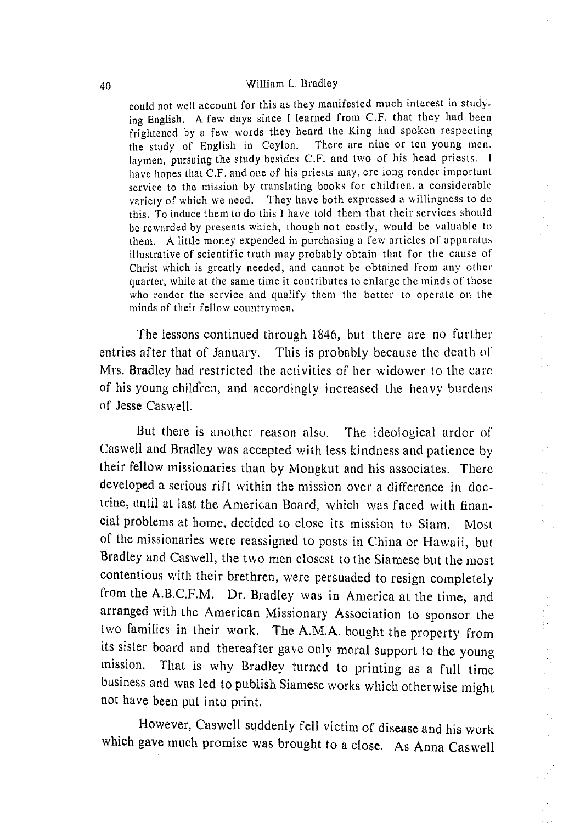could not well account for this as they manifested much interest in studying English. A few days since I learned from C.F. that they had been frightened by a few words they heard the King had spoken respecting<br>the study of English in Ceylon. There are nine or ten young men. the study of English in Ceylon. laymen, pursuing the study besides C.F. and two of his head priests. I have hopes that C.F. and one of his priests may, ere long render important service to the mission by translating books for children. a considerable variety of which we need. They have both expressed a willingness to do this. To induce them to do this I have told them that their services should be rewarded by presents which, though not costly, would be valuable to them. A little money expended in purchasing a few articles of apparatus illustrative of scientific truth may probably obtain that for the cause of Christ which is greatly needed, and cannot be obtained from any other quarter, while at the same time it contributes to enlarge the minds of those who render the service and qualify them the better to operate on the minds of their fellow countrymen.

The lessons continued through 1846, but there are no further entries after that of January. This is probably because the death of Mrs. Bradley had restricted the activities of her widower to the care of his young child'ren, and accordingly increased the heavy burdens of Jesse Caswell.

But there is another reason also. The ideological ardor of Caswell and Bradley was accepted with less kindness and patience by their fellow missionaries than by Mongkut and his associates. There developed a serious rift within the mission over a difference in doctrine, until at last the American Board, which was faced with financial problems at home, decided to close its mission to Siam. Most of the missionaries were reassigned to posts in China or Hawaii, but Bradley and Caswell, the two men closest to the Siamese but the most contentious with their brethren, were persuaded to resign completely from the A.B.C.F.M. Dr. Bradley was in America at the time, and arranged with the American Missionary Association to sponsor the two families in their work. The A.M.A. bought the property from its sister board and thereafter gave only moral support to the young mission. That is why Bradley turned to printing as a full time business and was led to publish Siamese works which otherwise might not have been put into print.

However, Caswell suddenly fell victim of disease and his work which gave much promise was brought to a close. As Anna Caswell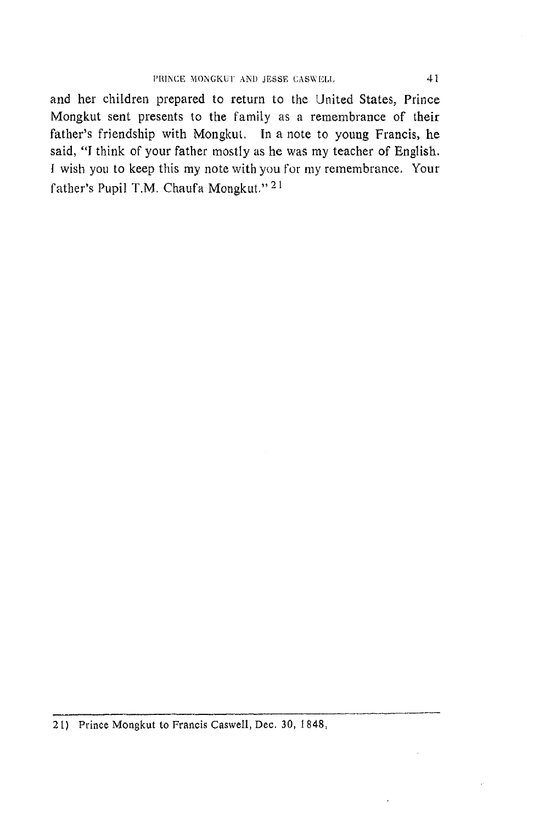and her children prepared to return to the United States, Prince Mongkut sent presents to the family as a remembrance of their father's friendship with Mongkut. In a note to young Francis, he said, "J think of your father mostly as he was my teacher of English. I wish you to keep this my note with you for my remembrance. Your father's Pupil T.M. Chaufa Mongkut."<sup>21</sup>